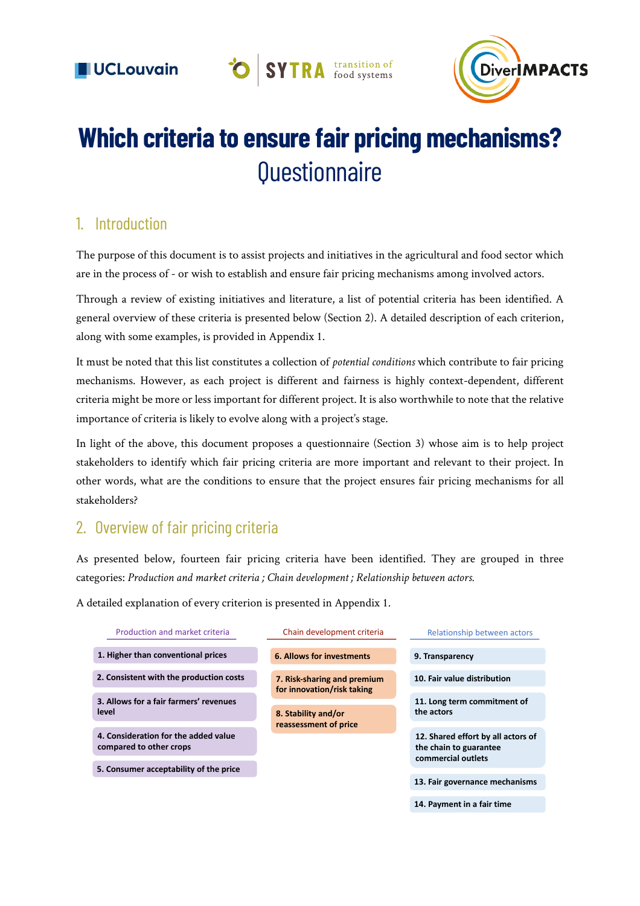

# **Which criteria to ensure fair pricing mechanisms? Questionnaire**

**O** SYTRA transition of

## 1. Introduction

The purpose of this document is to assist projects and initiatives in the agricultural and food sector which are in the process of - or wish to establish and ensure fair pricing mechanisms among involved actors.

Through a review of existing initiatives and literature, a list of potential criteria has been identified. A general overview of these criteria is presented below (Section 2). A detailed description of each criterion, along with some examples, is provided in Appendix 1.

It must be noted that this list constitutes a collection of *potential conditions* which contribute to fair pricing mechanisms. However, as each project is different and fairness is highly context-dependent, different criteria might be more or less important for different project. It is also worthwhile to note that the relative importance of criteria is likely to evolve along with a project's stage.

In light of the above, this document proposes a questionnaire (Section 3) whose aim is to help project stakeholders to identify which fair pricing criteria are more important and relevant to their project. In other words, what are the conditions to ensure that the project ensures fair pricing mechanisms for all stakeholders?

## 2. Overview of fair pricing criteria

As presented below, fourteen fair pricing criteria have been identified. They are grouped in three categories: Production and market criteria ; Chain development ; Relationship between actors.<br>

A detailed explanation of every criterion is presented in Appendix 1.

| Production and market criteria                                  | Chain development criteria                                | Relationship between actors                                                        |
|-----------------------------------------------------------------|-----------------------------------------------------------|------------------------------------------------------------------------------------|
| 1. Higher than conventional prices                              | <b>6. Allows for investments</b>                          | 9. Transparency                                                                    |
| 2. Consistent with the production costs                         | 7. Risk-sharing and premium<br>for innovation/risk taking | 10. Fair value distribution                                                        |
| 3. Allows for a fair farmers' revenues<br>level                 | 8. Stability and/or                                       | 11. Long term commitment of<br>the actors                                          |
| 4. Consideration for the added value<br>compared to other crops | reassessment of price                                     | 12. Shared effort by all actors of<br>the chain to guarantee<br>commercial outlets |
| 5. Consumer acceptability of the price                          |                                                           | 13. Fair governance mechanisms                                                     |
|                                                                 |                                                           | 14. Payment in a fair time                                                         |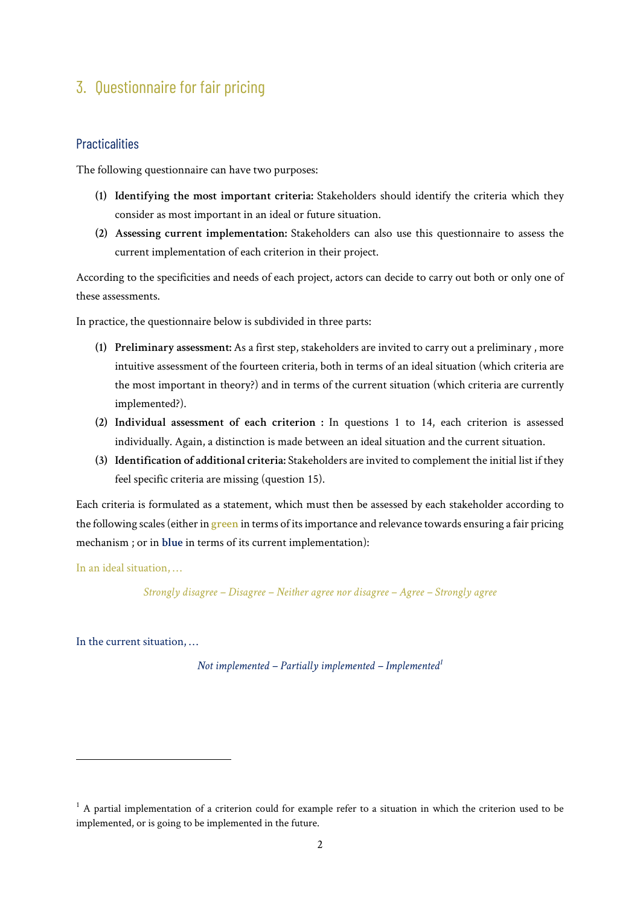# 3. Questionnaire for fair pricing

#### **Practicalities**

The following questionnaire can have two purposes:

- **(1) Identifying the most important criteria:** Stakeholders should identify the criteria which they consider as most important in an ideal or future situation.
- **(2) Assessing current implementation:** Stakeholders can also use this questionnaire to assess the current implementation of each criterion in their project.

According to the specificities and needs of each project, actors can decide to carry out both or only one of these assessments.

In practice, the questionnaire below is subdivided in three parts:

- **(1) Preliminary assessment:** As a first step, stakeholders are invited to carry out a preliminary , more intuitive assessment of the fourteen criteria, both in terms of an ideal situation (which criteria are the most important in theory?) and in terms of the current situation (which criteria are currently implemented?).
- **(2) Individual assessment of each criterion :** In questions 1 to 14, each criterion is assessed individually. Again, a distinction is made between an ideal situation and the current situation.
- **(3) Identification of additional criteria:** Stakeholders are invited to complement the initial list if they feel specific criteria are missing (question 15).

Each criteria is formulated as a statement, which must then be assessed by each stakeholder according to the following scales (either in **green** in terms of its importance and relevance towards ensuring a fair pricing mechanism ; or in **blue** in terms of its current implementation):

In an ideal situation, …

*Strongly disagree – Disagree – Neither agree nor disagree – Agree – Strongly agree*

In the current situation, …

*Not implemented – Partially implemented – Implemented1*

 $1$  A partial implementation of a criterion could for example refer to a situation in which the criterion used to be implemented, or is going to be implemented in the future.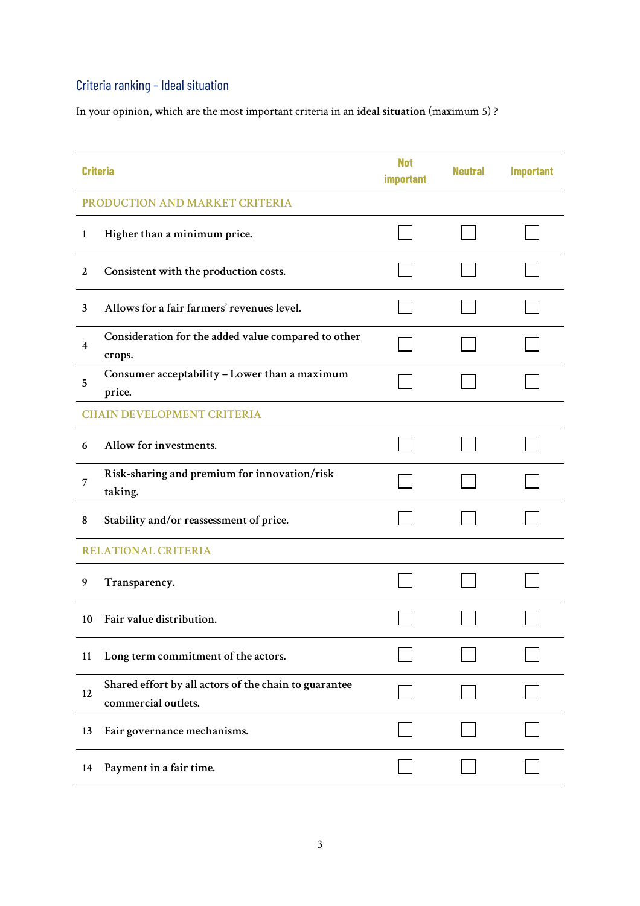# Criteria ranking – Ideal situation

In your opinion, which are the most important criteria in an **ideal situation** (maximum 5) ?

|                | <b>Criteria</b>                                                              | <b>Not</b><br>important | <b>Neutral</b> | <b>Important</b> |
|----------------|------------------------------------------------------------------------------|-------------------------|----------------|------------------|
|                | PRODUCTION AND MARKET CRITERIA                                               |                         |                |                  |
| $\mathbf{1}$   | Higher than a minimum price.                                                 |                         |                |                  |
| 2              | Consistent with the production costs.                                        |                         |                |                  |
| 3              | Allows for a fair farmers' revenues level.                                   |                         |                |                  |
| $\overline{4}$ | Consideration for the added value compared to other<br>crops.                |                         |                |                  |
| 5              | Consumer acceptability - Lower than a maximum<br>price.                      |                         |                |                  |
|                | <b>CHAIN DEVELOPMENT CRITERIA</b>                                            |                         |                |                  |
| 6              | Allow for investments.                                                       |                         |                |                  |
| 7              | Risk-sharing and premium for innovation/risk<br>taking.                      |                         |                |                  |
| 8              | Stability and/or reassessment of price.                                      |                         |                |                  |
|                | <b>RELATIONAL CRITERIA</b>                                                   |                         |                |                  |
| 9              | Transparency.                                                                |                         |                |                  |
| 10             | Fair value distribution.                                                     |                         |                |                  |
| 11             | Long term commitment of the actors.                                          |                         |                |                  |
| 12             | Shared effort by all actors of the chain to guarantee<br>commercial outlets. |                         |                |                  |
| 13             | Fair governance mechanisms.                                                  |                         |                |                  |
| 14             | Payment in a fair time.                                                      |                         |                |                  |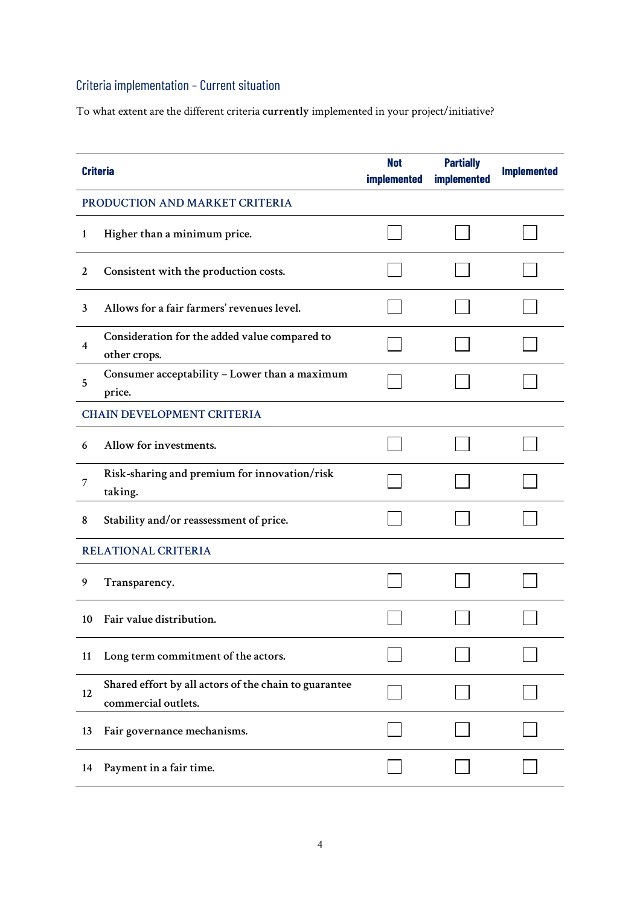# Criteria implementation – Current situation

To what extent are the different criteria **currently** implemented in your project/initiative?

|                  | <b>Criteria</b>                                                              | <b>Not</b><br>implemented | <b>Partially</b><br>implemented | <b>Implemented</b> |
|------------------|------------------------------------------------------------------------------|---------------------------|---------------------------------|--------------------|
|                  | PRODUCTION AND MARKET CRITERIA                                               |                           |                                 |                    |
| $\mathbf{1}$     | Higher than a minimum price.                                                 |                           |                                 |                    |
| $\boldsymbol{2}$ | Consistent with the production costs.                                        |                           |                                 |                    |
| 3                | Allows for a fair farmers' revenues level.                                   |                           |                                 |                    |
| 4                | Consideration for the added value compared to<br>other crops.                |                           |                                 |                    |
| 5                | Consumer acceptability - Lower than a maximum<br>price.                      |                           |                                 |                    |
|                  | <b>CHAIN DEVELOPMENT CRITERIA</b>                                            |                           |                                 |                    |
| 6                | Allow for investments.                                                       |                           |                                 |                    |
| 7                | Risk-sharing and premium for innovation/risk<br>taking.                      |                           |                                 |                    |
| 8                | Stability and/or reassessment of price.                                      |                           |                                 |                    |
|                  | <b>RELATIONAL CRITERIA</b>                                                   |                           |                                 |                    |
| 9                | Transparency.                                                                |                           |                                 |                    |
| 10               | Fair value distribution.                                                     |                           |                                 |                    |
| 11               | Long term commitment of the actors.                                          |                           |                                 |                    |
| 12               | Shared effort by all actors of the chain to guarantee<br>commercial outlets. |                           |                                 |                    |
| 13               | Fair governance mechanisms.                                                  |                           |                                 |                    |
| 14               | Payment in a fair time.                                                      |                           |                                 |                    |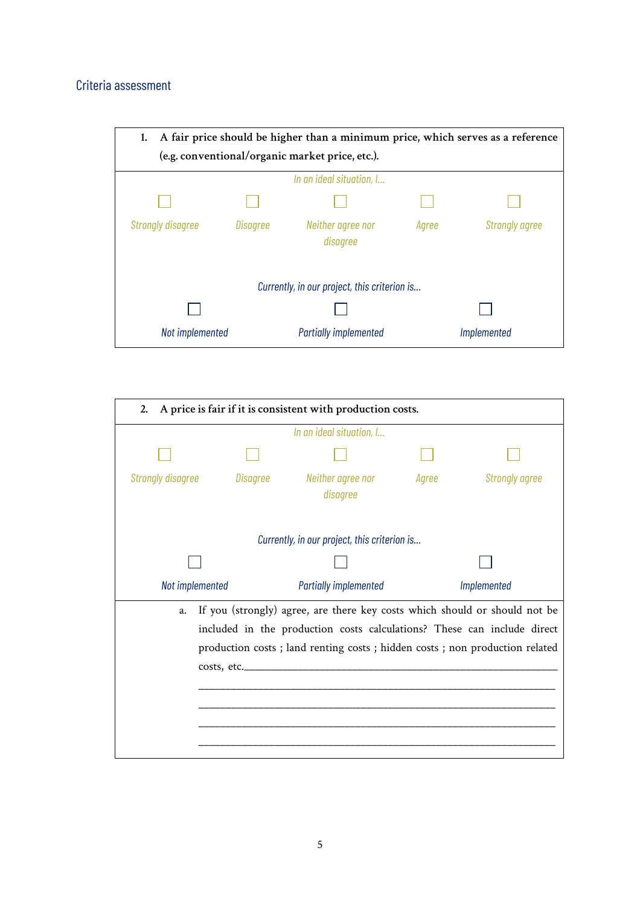### Criteria assessment

| A fair price should be higher than a minimum price, which serves as a reference<br>1. |                 |                                                 |       |                       |
|---------------------------------------------------------------------------------------|-----------------|-------------------------------------------------|-------|-----------------------|
|                                                                                       |                 | (e.g. conventional/organic market price, etc.). |       |                       |
|                                                                                       |                 | In an ideal situation, I                        |       |                       |
|                                                                                       |                 |                                                 |       |                       |
| <b>Strongly disagree</b>                                                              | <b>Disagree</b> | Neither agree nor<br>disagree                   | Agree | <b>Strongly agree</b> |
|                                                                                       |                 | Currently, in our project, this criterion is    |       |                       |
|                                                                                       |                 |                                                 |       |                       |
| Not implemented                                                                       |                 | <b>Partially implemented</b>                    |       | Implemented           |

| A price is fair if it is consistent with production costs.<br>2.                                                                                                                                                                             |          |                                              |       |                       |
|----------------------------------------------------------------------------------------------------------------------------------------------------------------------------------------------------------------------------------------------|----------|----------------------------------------------|-------|-----------------------|
|                                                                                                                                                                                                                                              |          | In an ideal situation, I                     |       |                       |
|                                                                                                                                                                                                                                              |          |                                              |       |                       |
| Strongly disagree                                                                                                                                                                                                                            | Disagree | Neither agree nor<br>disagree                | Agree | <b>Strongly agree</b> |
|                                                                                                                                                                                                                                              |          | Currently, in our project, this criterion is |       |                       |
|                                                                                                                                                                                                                                              |          |                                              |       |                       |
| Not implemented                                                                                                                                                                                                                              |          | <b>Partially implemented</b>                 |       | Implemented           |
| If you (strongly) agree, are there key costs which should or should not be<br>a.<br>included in the production costs calculations? These can include direct<br>production costs ; land renting costs ; hidden costs ; non production related |          |                                              |       |                       |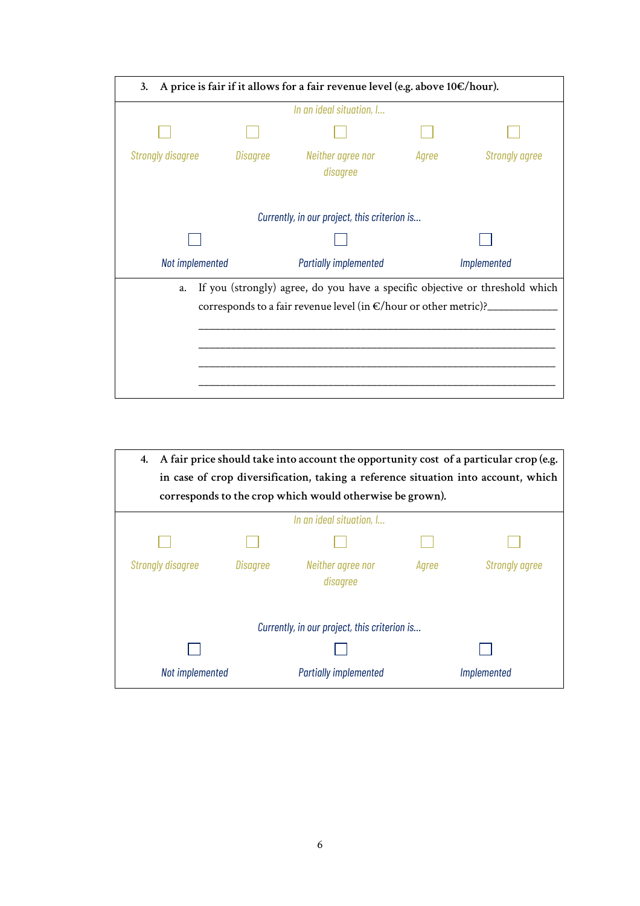| A price is fair if it allows for a fair revenue level (e.g. above $10 \in / \text{hour}$ ).<br>3.                                                       |          |                                              |       |                       |  |  |
|---------------------------------------------------------------------------------------------------------------------------------------------------------|----------|----------------------------------------------|-------|-----------------------|--|--|
| In an ideal situation, I                                                                                                                                |          |                                              |       |                       |  |  |
|                                                                                                                                                         |          |                                              |       |                       |  |  |
| <b>Strongly disagree</b>                                                                                                                                | Disagree | Neither agree nor<br>disagree                | Agree | <b>Strongly agree</b> |  |  |
|                                                                                                                                                         |          | Currently, in our project, this criterion is |       |                       |  |  |
|                                                                                                                                                         |          |                                              |       |                       |  |  |
| Not implemented                                                                                                                                         |          | <b>Partially implemented</b>                 |       | Implemented           |  |  |
| If you (strongly) agree, do you have a specific objective or threshold which<br>a.<br>corresponds to a fair revenue level (in €/hour or other metric)?_ |          |                                              |       |                       |  |  |

|                          | 4. A fair price should take into account the opportunity cost of a particular crop (e.g.<br>in case of crop diversification, taking a reference situation into account, which<br>corresponds to the crop which would otherwise be grown). |                                              |       |                       |  |
|--------------------------|-------------------------------------------------------------------------------------------------------------------------------------------------------------------------------------------------------------------------------------------|----------------------------------------------|-------|-----------------------|--|
|                          |                                                                                                                                                                                                                                           | In an ideal situation, I                     |       |                       |  |
|                          |                                                                                                                                                                                                                                           |                                              |       |                       |  |
| <b>Strongly disagree</b> | Disagree                                                                                                                                                                                                                                  | Neither agree nor<br>disagree                | Agree | <b>Strongly agree</b> |  |
|                          |                                                                                                                                                                                                                                           | Currently, in our project, this criterion is |       |                       |  |
|                          |                                                                                                                                                                                                                                           |                                              |       |                       |  |
| Not implemented          |                                                                                                                                                                                                                                           | <b>Partially implemented</b>                 |       | Implemented           |  |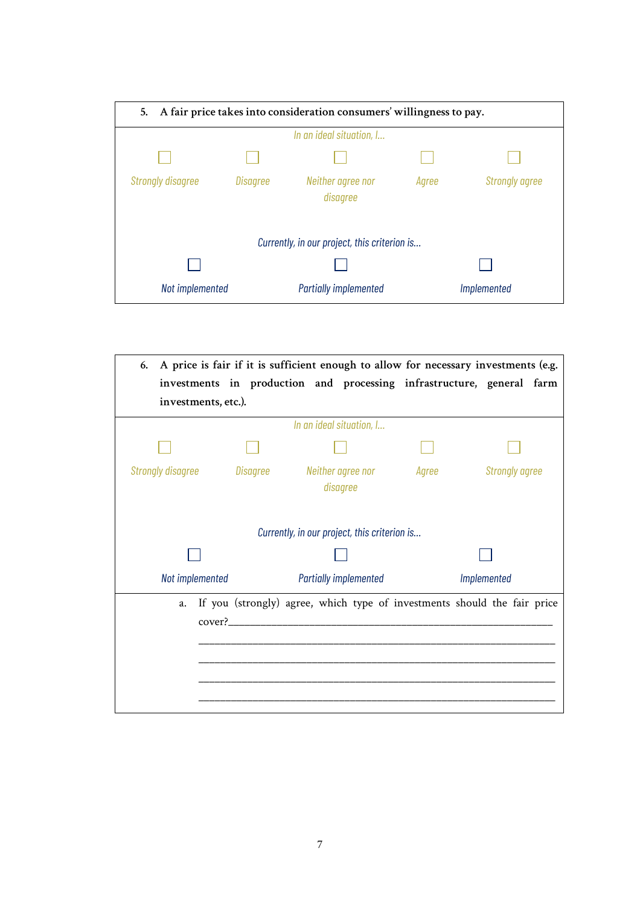| A fair price takes into consideration consumers' willingness to pay.<br>5. |                 |                                              |       |                       |  |
|----------------------------------------------------------------------------|-----------------|----------------------------------------------|-------|-----------------------|--|
|                                                                            |                 | In an ideal situation, I                     |       |                       |  |
|                                                                            |                 |                                              |       |                       |  |
| <b>Strongly disagree</b>                                                   | <b>Disagree</b> | Neither agree nor<br>disagree                | Agree | <b>Strongly agree</b> |  |
|                                                                            |                 | Currently, in our project, this criterion is |       |                       |  |
|                                                                            |                 |                                              |       |                       |  |
| Not implemented                                                            |                 | <b>Partially implemented</b>                 |       | <i>Implemented</i>    |  |

| 6.                       |          |                                              |       | A price is fair if it is sufficient enough to allow for necessary investments (e.g. |
|--------------------------|----------|----------------------------------------------|-------|-------------------------------------------------------------------------------------|
|                          |          |                                              |       | investments in production and processing infrastructure, general farm               |
| investments, etc.).      |          |                                              |       |                                                                                     |
|                          |          | In an ideal situation, I                     |       |                                                                                     |
|                          |          |                                              |       |                                                                                     |
| <b>Strongly disagree</b> | Disagree | Neither agree nor<br>disagree                | Agree | <b>Strongly agree</b>                                                               |
|                          |          | Currently, in our project, this criterion is |       |                                                                                     |
|                          |          |                                              |       |                                                                                     |
| Not implemented          |          | <b>Partially implemented</b>                 |       | Implemented                                                                         |
| a.                       |          |                                              |       | If you (strongly) agree, which type of investments should the fair price            |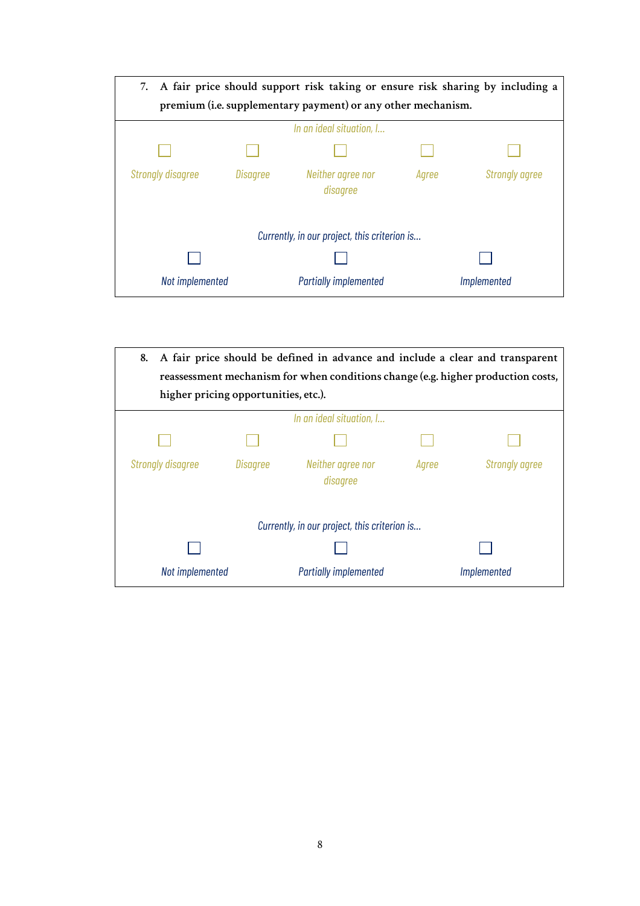| A fair price should support risk taking or ensure risk sharing by including a<br>7. |          |                                                              |       |                       |  |
|-------------------------------------------------------------------------------------|----------|--------------------------------------------------------------|-------|-----------------------|--|
|                                                                                     |          | premium (i.e. supplementary payment) or any other mechanism. |       |                       |  |
|                                                                                     |          | In an ideal situation, I                                     |       |                       |  |
|                                                                                     |          |                                                              |       |                       |  |
| <b>Strongly disagree</b>                                                            | Disagree | Neither agree nor<br>disagree                                | Agree | <b>Strongly agree</b> |  |
|                                                                                     |          | Currently, in our project, this criterion is                 |       |                       |  |
|                                                                                     |          |                                                              |       |                       |  |
| Not implemented                                                                     |          | <b>Partially implemented</b>                                 |       | Implemented           |  |

| A fair price should be defined in advance and include a clear and transparent<br>8.<br>reassessment mechanism for when conditions change (e.g. higher production costs,<br>higher pricing opportunities, etc.). |          |                                              |       |                       |
|-----------------------------------------------------------------------------------------------------------------------------------------------------------------------------------------------------------------|----------|----------------------------------------------|-------|-----------------------|
|                                                                                                                                                                                                                 |          | In an ideal situation, I                     |       |                       |
|                                                                                                                                                                                                                 |          |                                              |       |                       |
| <b>Strongly disagree</b>                                                                                                                                                                                        | Disagree | Neither agree nor<br>disagree                | Agree | <b>Strongly agree</b> |
|                                                                                                                                                                                                                 |          | Currently, in our project, this criterion is |       |                       |
|                                                                                                                                                                                                                 |          |                                              |       |                       |
| Not implemented                                                                                                                                                                                                 |          | <b>Partially implemented</b>                 |       | <i>Implemented</i>    |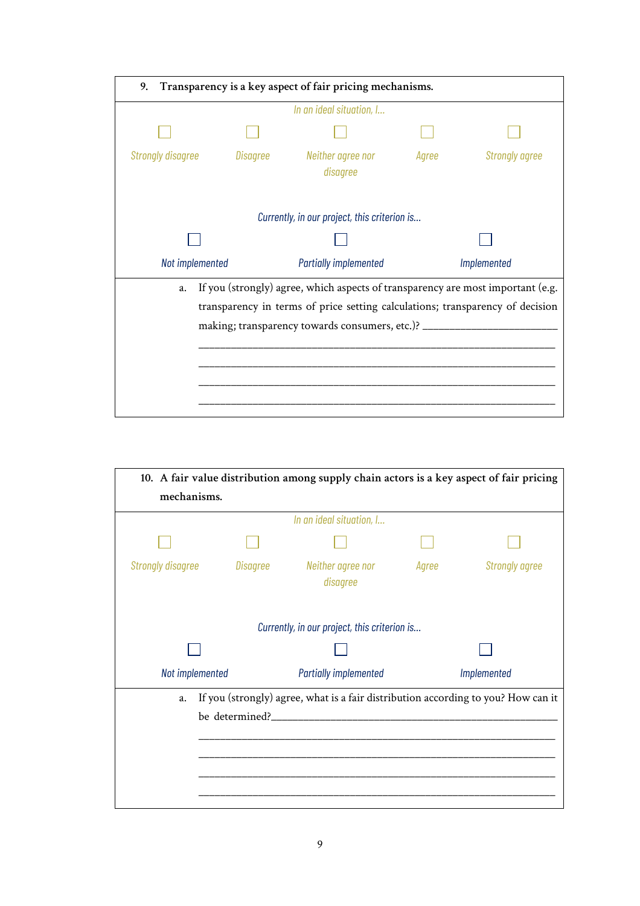| 9. Transparency is a key aspect of fair pricing mechanisms. |                          |                                                                                                                                                                                                                       |       |                       |  |  |  |
|-------------------------------------------------------------|--------------------------|-----------------------------------------------------------------------------------------------------------------------------------------------------------------------------------------------------------------------|-------|-----------------------|--|--|--|
|                                                             | In an ideal situation, I |                                                                                                                                                                                                                       |       |                       |  |  |  |
|                                                             |                          |                                                                                                                                                                                                                       |       |                       |  |  |  |
| <b>Strongly disagree</b>                                    | Disagree                 | Neither agree nor<br>disagree                                                                                                                                                                                         | Agree | <b>Strongly agree</b> |  |  |  |
|                                                             |                          | Currently, in our project, this criterion is                                                                                                                                                                          |       |                       |  |  |  |
|                                                             |                          |                                                                                                                                                                                                                       |       |                       |  |  |  |
| Not implemented                                             |                          | <b>Partially implemented</b>                                                                                                                                                                                          |       | Implemented           |  |  |  |
| a.                                                          |                          | If you (strongly) agree, which aspects of transparency are most important (e.g.<br>transparency in terms of price setting calculations; transparency of decision<br>making; transparency towards consumers, etc.)? __ |       |                       |  |  |  |

| 10. A fair value distribution among supply chain actors is a key aspect of fair pricing |                          |                                                                                   |       |                       |  |  |  |
|-----------------------------------------------------------------------------------------|--------------------------|-----------------------------------------------------------------------------------|-------|-----------------------|--|--|--|
| mechanisms.                                                                             |                          |                                                                                   |       |                       |  |  |  |
|                                                                                         | In an ideal situation, I |                                                                                   |       |                       |  |  |  |
|                                                                                         |                          |                                                                                   |       |                       |  |  |  |
| <b>Strongly disagree</b>                                                                | Disagree                 | Neither agree nor<br>disagree                                                     | Agree | <b>Strongly agree</b> |  |  |  |
| Currently, in our project, this criterion is                                            |                          |                                                                                   |       |                       |  |  |  |
| Not implemented                                                                         |                          | <b>Partially implemented</b>                                                      |       |                       |  |  |  |
|                                                                                         |                          |                                                                                   |       | Implemented           |  |  |  |
| a.                                                                                      |                          | If you (strongly) agree, what is a fair distribution according to you? How can it |       |                       |  |  |  |
|                                                                                         | be determined?__         |                                                                                   |       |                       |  |  |  |
|                                                                                         |                          |                                                                                   |       |                       |  |  |  |
|                                                                                         |                          |                                                                                   |       |                       |  |  |  |
|                                                                                         |                          |                                                                                   |       |                       |  |  |  |
|                                                                                         |                          |                                                                                   |       |                       |  |  |  |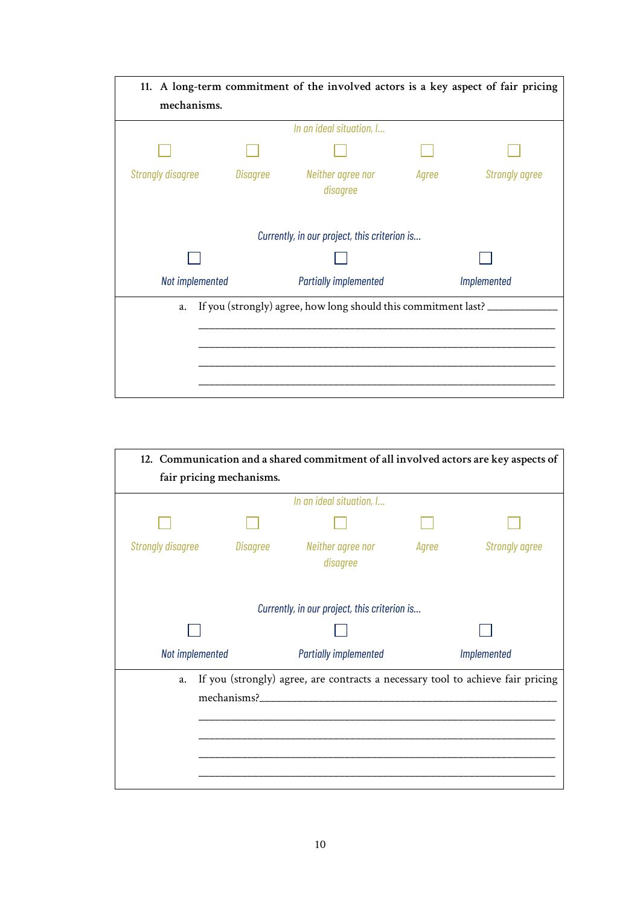| 11. A long-term commitment of the involved actors is a key aspect of fair pricing |                               |                              |                       |  |  |  |
|-----------------------------------------------------------------------------------|-------------------------------|------------------------------|-----------------------|--|--|--|
| mechanisms.                                                                       |                               |                              |                       |  |  |  |
| In an ideal situation, I                                                          |                               |                              |                       |  |  |  |
|                                                                                   |                               |                              |                       |  |  |  |
| Disagree                                                                          | Neither agree nor<br>disagree | Agree                        | <b>Strongly agree</b> |  |  |  |
| Currently, in our project, this criterion is                                      |                               |                              |                       |  |  |  |
| Not implemented                                                                   |                               | Implemented                  |                       |  |  |  |
| If you (strongly) agree, how long should this commitment last? __<br>a.           |                               |                              |                       |  |  |  |
|                                                                                   |                               |                              |                       |  |  |  |
|                                                                                   |                               |                              |                       |  |  |  |
|                                                                                   |                               |                              |                       |  |  |  |
|                                                                                   |                               | <b>Partially implemented</b> |                       |  |  |  |

| 12. Communication and a shared commitment of all involved actors are key aspects of |                          |                                                                                 |             |                       |  |  |
|-------------------------------------------------------------------------------------|--------------------------|---------------------------------------------------------------------------------|-------------|-----------------------|--|--|
| fair pricing mechanisms.                                                            |                          |                                                                                 |             |                       |  |  |
|                                                                                     | In an ideal situation, I |                                                                                 |             |                       |  |  |
|                                                                                     |                          |                                                                                 |             |                       |  |  |
| <b>Strongly disagree</b>                                                            | Disagree                 | Neither agree nor<br>disagree                                                   | Agree       | <b>Strongly agree</b> |  |  |
| Currently, in our project, this criterion is                                        |                          |                                                                                 |             |                       |  |  |
|                                                                                     |                          |                                                                                 |             |                       |  |  |
| Not implemented                                                                     |                          | <b>Partially implemented</b>                                                    | Implemented |                       |  |  |
| a.                                                                                  | mechanisms?_             | If you (strongly) agree, are contracts a necessary tool to achieve fair pricing |             |                       |  |  |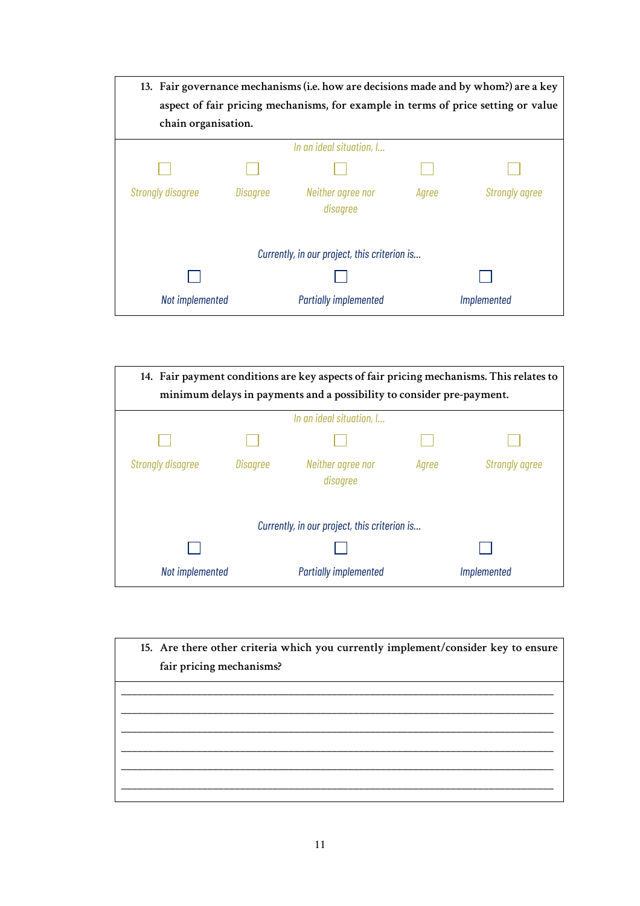| 13. Fair governance mechanisms (i.e. how are decisions made and by whom?) are a key |                 |                               |       |                       |  |
|-------------------------------------------------------------------------------------|-----------------|-------------------------------|-------|-----------------------|--|
| aspect of fair pricing mechanisms, for example in terms of price setting or value   |                 |                               |       |                       |  |
| chain organisation.                                                                 |                 |                               |       |                       |  |
| In an ideal situation, I                                                            |                 |                               |       |                       |  |
|                                                                                     |                 |                               |       |                       |  |
| <b>Strongly disagree</b>                                                            | <b>Disagree</b> | Neither agree nor<br>disagree | Agree | <b>Strongly agree</b> |  |
| Currently, in our project, this criterion is                                        |                 |                               |       |                       |  |
|                                                                                     |                 |                               |       |                       |  |
| Not implemented                                                                     |                 | <b>Partially implemented</b>  |       | Implemented           |  |

| 14. Fair payment conditions are key aspects of fair pricing mechanisms. This relates to |          |                               |       |                       |  |
|-----------------------------------------------------------------------------------------|----------|-------------------------------|-------|-----------------------|--|
| minimum delays in payments and a possibility to consider pre-payment.                   |          |                               |       |                       |  |
| In an ideal situation, I                                                                |          |                               |       |                       |  |
|                                                                                         |          |                               |       |                       |  |
| <b>Strongly disagree</b>                                                                | Disagree | Neither agree nor<br>disagree | Agree | <b>Strongly agree</b> |  |
| Currently, in our project, this criterion is                                            |          |                               |       |                       |  |
|                                                                                         |          |                               |       |                       |  |
| Not implemented                                                                         |          | <b>Partially implemented</b>  |       | Implemented           |  |

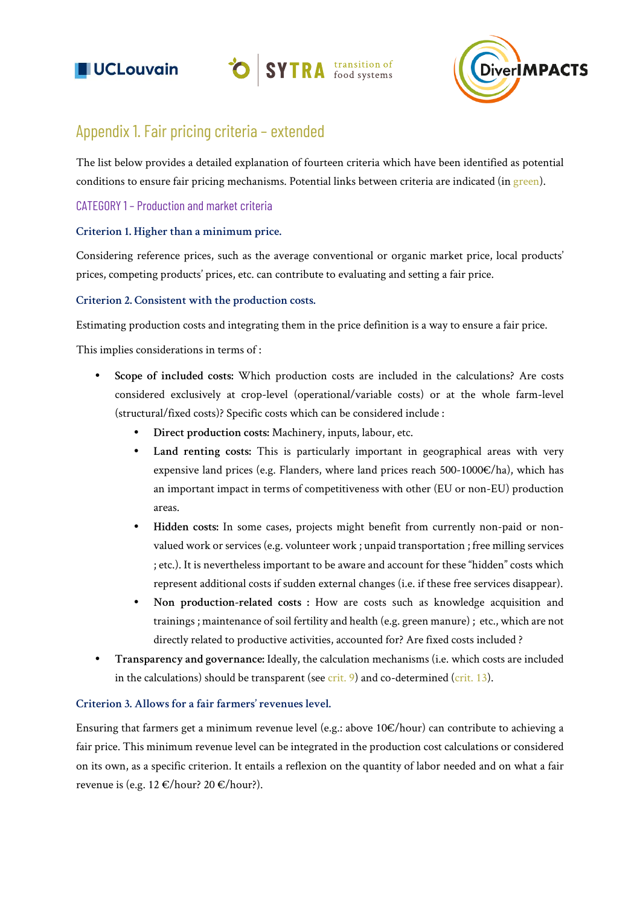





### Appendix 1. Fair pricing criteria – extended

The list below provides a detailed explanation of fourteen criteria which have been identified as potential conditions to ensure fair pricing mechanisms. Potential links between criteria are indicated (in green).

#### CATEGORY 1 – Production and market criteria

#### **Criterion 1. Higher than a minimum price.**

Considering reference prices, such as the average conventional or organic market price, local products' prices, competing products' prices, etc. can contribute to evaluating and setting a fair price.

#### **Criterion 2. Consistent with the production costs.**

Estimating production costs and integrating them in the price definition is a way to ensure a fair price.

This implies considerations in terms of :

- **• Scope of included costs:** Which production costs are included in the calculations? Are costs considered exclusively at crop-level (operational/variable costs) or at the whole farm-level (structural/fixed costs)? Specific costs which can be considered include :
	- **• Direct production costs:** Machinery, inputs, labour, etc.
	- **• Land renting costs:** This is particularly important in geographical areas with very expensive land prices (e.g. Flanders, where land prices reach 500-1000 $\epsilon$ /ha), which has an important impact in terms of competitiveness with other (EU or non-EU) production areas.
	- **• Hidden costs:** In some cases, projects might benefit from currently non-paid or nonvalued work or services (e.g. volunteer work ; unpaid transportation ; free milling services ; etc.). It is nevertheless important to be aware and account for these "hidden" costs which represent additional costs if sudden external changes (i.e. if these free services disappear).
	- **• Non production-related costs :** How are costs such as knowledge acquisition and trainings ; maintenance of soil fertility and health (e.g. green manure) ; etc., which are not directly related to productive activities, accounted for? Are fixed costs included ?
- **• Transparency and governance:** Ideally, the calculation mechanisms (i.e. which costs are included in the calculations) should be transparent (see  $crit. 9$ ) and co-determined ( $crit. 13$ ).

#### **Criterion 3. Allows for a fair farmers' revenues level.**

Ensuring that farmers get a minimum revenue level (e.g.: above 10€/hour) can contribute to achieving a fair price. This minimum revenue level can be integrated in the production cost calculations or considered on its own, as a specific criterion. It entails a reflexion on the quantity of labor needed and on what a fair revenue is (e.g. 12 €/hour? 20 €/hour?).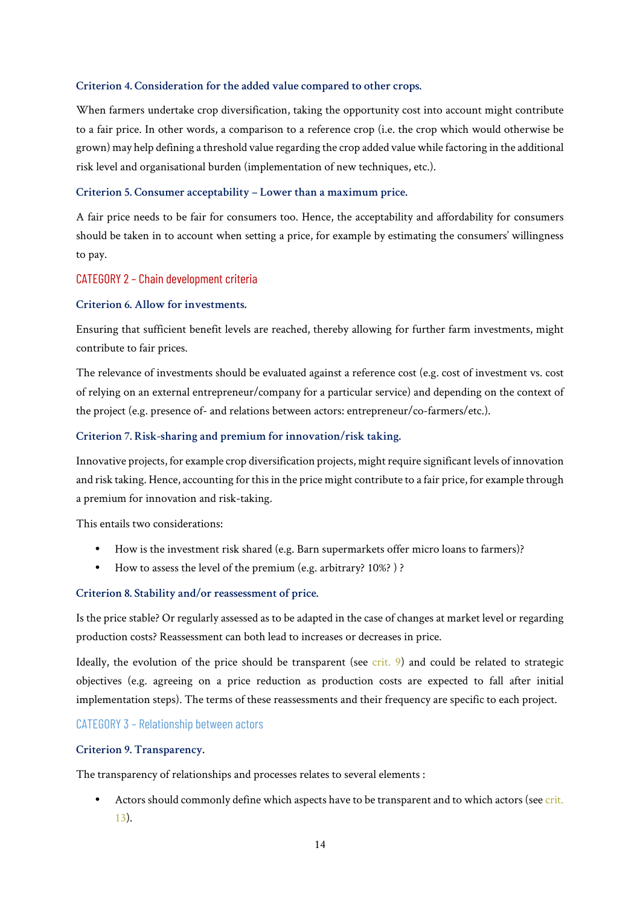#### **Criterion 4. Consideration for the added value compared to other crops.**

When farmers undertake crop diversification, taking the opportunity cost into account might contribute to a fair price. In other words, a comparison to a reference crop (i.e. the crop which would otherwise be grown) may help defining a threshold value regarding the crop added value while factoring in the additional risk level and organisational burden (implementation of new techniques, etc.).

#### **Criterion 5. Consumer acceptability – Lower than a maximum price.**

A fair price needs to be fair for consumers too. Hence, the acceptability and affordability for consumers should be taken in to account when setting a price, for example by estimating the consumers' willingness to pay.

#### CATEGORY 2 – Chain development criteria

#### **Criterion 6. Allow for investments.**

Ensuring that sufficient benefit levels are reached, thereby allowing for further farm investments, might contribute to fair prices.

The relevance of investments should be evaluated against a reference cost (e.g. cost of investment vs. cost of relying on an external entrepreneur/company for a particular service) and depending on the context of the project (e.g. presence of- and relations between actors: entrepreneur/co-farmers/etc.).

#### **Criterion 7. Risk-sharing and premium for innovation/risk taking.**

Innovative projects, for example crop diversification projects, might require significant levels of innovation and risk taking. Hence, accounting for this in the price might contribute to a fair price, for example through a premium for innovation and risk-taking.

This entails two considerations:

- **•** How is the investment risk shared (e.g. Barn supermarkets offer micro loans to farmers)?
- **•** How to assess the level of the premium (e.g. arbitrary? 10%? ) ?

#### **Criterion 8. Stability and/or reassessment of price.**

Is the price stable? Or regularly assessed as to be adapted in the case of changes at market level or regarding production costs? Reassessment can both lead to increases or decreases in price.

Ideally, the evolution of the price should be transparent (see crit.  $9$ ) and could be related to strategic objectives (e.g. agreeing on a price reduction as production costs are expected to fall after initial implementation steps). The terms of these reassessments and their frequency are specific to each project.

CATEGORY 3 – Relationship between actors

#### **Criterion 9. Transparency.**

The transparency of relationships and processes relates to several elements :

**•** Actors should commonly define which aspects have to be transparent and to which actors (see crit. 13).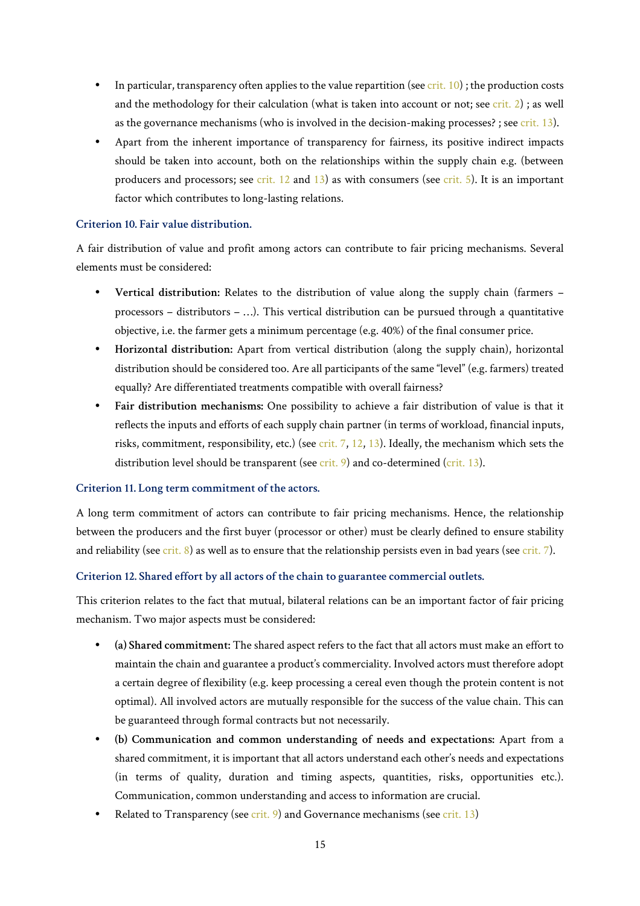- **•** In particular, transparency often applies to the value repartition (see crit. 10) ; the production costs and the methodology for their calculation (what is taken into account or not; see crit. 2) ; as well as the governance mechanisms (who is involved in the decision-making processes? ; see crit. 13).
- **•** Apart from the inherent importance of transparency for fairness, its positive indirect impacts should be taken into account, both on the relationships within the supply chain e.g. (between producers and processors; see crit.  $12$  and  $13$ ) as with consumers (see crit. 5). It is an important factor which contributes to long-lasting relations.

#### **Criterion 10. Fair value distribution.**

A fair distribution of value and profit among actors can contribute to fair pricing mechanisms. Several elements must be considered:

- **• Vertical distribution:** Relates to the distribution of value along the supply chain (farmers processors – distributors – …). This vertical distribution can be pursued through a quantitative objective, i.e. the farmer gets a minimum percentage (e.g. 40%) of the final consumer price.
- **• Horizontal distribution:** Apart from vertical distribution (along the supply chain), horizontal distribution should be considered too. Are all participants of the same "level" (e.g. farmers) treated equally? Are differentiated treatments compatible with overall fairness?
- **• Fair distribution mechanisms:** One possibility to achieve a fair distribution of value is that it reflects the inputs and efforts of each supply chain partner (in terms of workload, financial inputs, risks, commitment, responsibility, etc.) (see crit. 7, 12, 13). Ideally, the mechanism which sets the distribution level should be transparent (see  $crit$ . 9) and co-determined (crit. 13).

#### **Criterion 11. Long term commitment of the actors.**

A long term commitment of actors can contribute to fair pricing mechanisms. Hence, the relationship between the producers and the first buyer (processor or other) must be clearly defined to ensure stability and reliability (see crit.  $8$ ) as well as to ensure that the relationship persists even in bad years (see crit. 7).

#### **Criterion 12. Shared effort by all actors of the chain to guarantee commercial outlets.**

This criterion relates to the fact that mutual, bilateral relations can be an important factor of fair pricing mechanism. Two major aspects must be considered:

- **• (a) Shared commitment:** The shared aspect refers to the fact that all actors must make an effort to maintain the chain and guarantee a product's commerciality. Involved actors must therefore adopt a certain degree of flexibility (e.g. keep processing a cereal even though the protein content is not optimal). All involved actors are mutually responsible for the success of the value chain. This can be guaranteed through formal contracts but not necessarily.
- **• (b) Communication and common understanding of needs and expectations:** Apart from a shared commitment, it is important that all actors understand each other's needs and expectations (in terms of quality, duration and timing aspects, quantities, risks, opportunities etc.). Communication, common understanding and access to information are crucial.
- Related to Transparency (see crit. 9) and Governance mechanisms (see crit. 13)